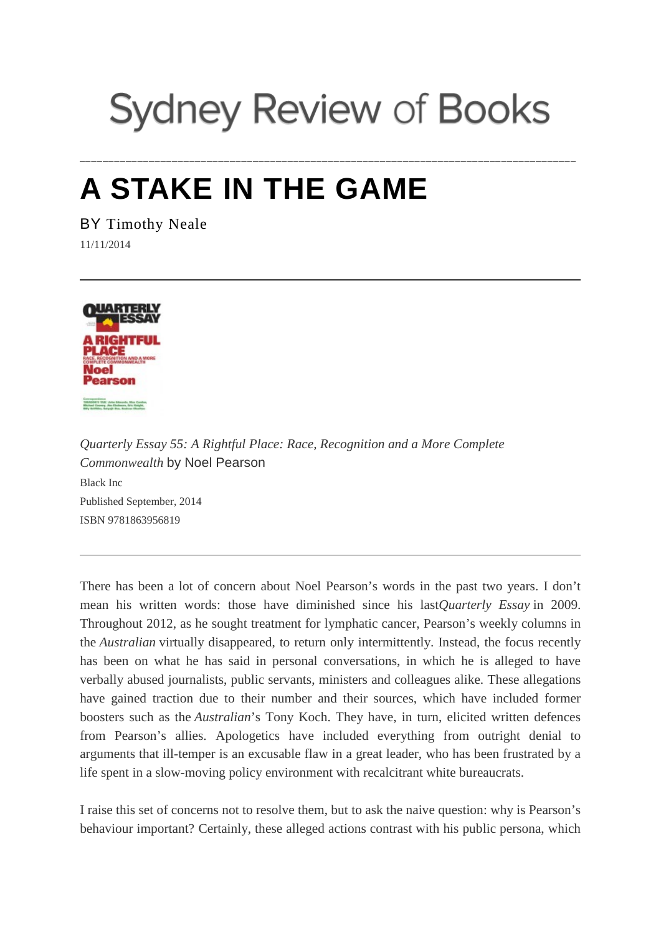## **Sydney Review of Books**

\_\_\_\_\_\_\_\_\_\_\_\_\_\_\_\_\_\_\_\_\_\_\_\_\_\_\_\_\_\_\_\_\_\_\_\_\_\_\_\_\_\_\_\_\_\_\_\_\_\_\_\_\_\_\_\_\_\_\_\_\_\_\_\_\_\_\_\_\_\_\_\_\_\_\_\_\_\_\_\_\_\_\_\_\_\_

## **A STAKE IN THE GAME**

BY Timothy Neale 11/11/2014



*Quarterly Essay 55: A Rightful Place: Race, Recognition and a More Complete Commonwealth* by Noel Pearson Black Inc Published September, 2014 ISBN 9781863956819

There has been a lot of concern about Noel Pearson's words in the past two years. I don't mean his written words: those have diminished since his last*Quarterly Essay* in 2009. Throughout 2012, as he sought treatment for lymphatic cancer, Pearson's weekly columns in the *Australian* virtually disappeared, to return only intermittently. Instead, the focus recently has been on what he has said in personal conversations, in which he is alleged to have verbally abused journalists, public servants, ministers and colleagues alike. These allegations have gained traction due to their number and their sources, which have included former boosters such as the *Australian*'s Tony Koch. They have, in turn, elicited written defences from Pearson's allies. Apologetics have included everything from outright denial to arguments that ill-temper is an excusable flaw in a great leader, who has been frustrated by a life spent in a slow-moving policy environment with recalcitrant white bureaucrats.

I raise this set of concerns not to resolve them, but to ask the naive question: why is Pearson's behaviour important? Certainly, these alleged actions contrast with his public persona, which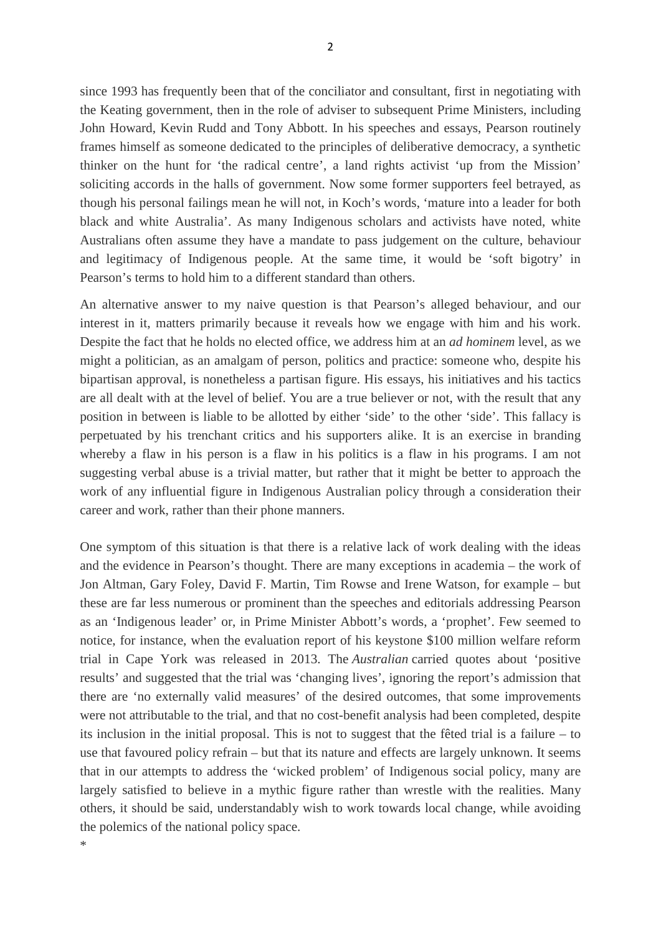since 1993 has frequently been that of the conciliator and consultant, first in negotiating with the Keating government, then in the role of adviser to subsequent Prime Ministers, including John Howard, Kevin Rudd and Tony Abbott. In his speeches and essays, Pearson routinely frames himself as someone dedicated to the principles of deliberative democracy, a synthetic thinker on the hunt for 'the radical centre', a land rights activist 'up from the Mission' soliciting accords in the halls of government. Now some former supporters feel betrayed, as though his personal failings mean he will not, in Koch's words, 'mature into a leader for both black and white Australia'. As many Indigenous scholars and activists have noted, white Australians often assume they have a mandate to pass judgement on the culture, behaviour and legitimacy of Indigenous people. At the same time, it would be 'soft bigotry' in Pearson's terms to hold him to a different standard than others.

An alternative answer to my naive question is that Pearson's alleged behaviour, and our interest in it, matters primarily because it reveals how we engage with him and his work. Despite the fact that he holds no elected office, we address him at an *ad hominem* level, as we might a politician, as an amalgam of person, politics and practice: someone who, despite his bipartisan approval, is nonetheless a partisan figure. His essays, his initiatives and his tactics are all dealt with at the level of belief. You are a true believer or not, with the result that any position in between is liable to be allotted by either 'side' to the other 'side'. This fallacy is perpetuated by his trenchant critics and his supporters alike. It is an exercise in branding whereby a flaw in his person is a flaw in his politics is a flaw in his programs. I am not suggesting verbal abuse is a trivial matter, but rather that it might be better to approach the work of any influential figure in Indigenous Australian policy through a consideration their career and work, rather than their phone manners.

One symptom of this situation is that there is a relative lack of work dealing with the ideas and the evidence in Pearson's thought. There are many exceptions in academia – the work of Jon Altman, Gary Foley, David F. Martin, Tim Rowse and Irene Watson, for example – but these are far less numerous or prominent than the speeches and editorials addressing Pearson as an 'Indigenous leader' or, in Prime Minister Abbott's words, a 'prophet'. Few seemed to notice, for instance, when the evaluation report of his keystone \$100 million welfare reform trial in Cape York was released in 2013. The *Australian* carried quotes about 'positive results' and suggested that the trial was 'changing lives', ignoring the report's admission that there are 'no externally valid measures' of the desired outcomes, that some improvements were not attributable to the trial, and that no cost-benefit analysis had been completed, despite its inclusion in the initial proposal. This is not to suggest that the fêted trial is a failure – to use that favoured policy refrain – but that its nature and effects are largely unknown. It seems that in our attempts to address the 'wicked problem' of Indigenous social policy, many are largely satisfied to believe in a mythic figure rather than wrestle with the realities. Many others, it should be said, understandably wish to work towards local change, while avoiding the polemics of the national policy space.

\*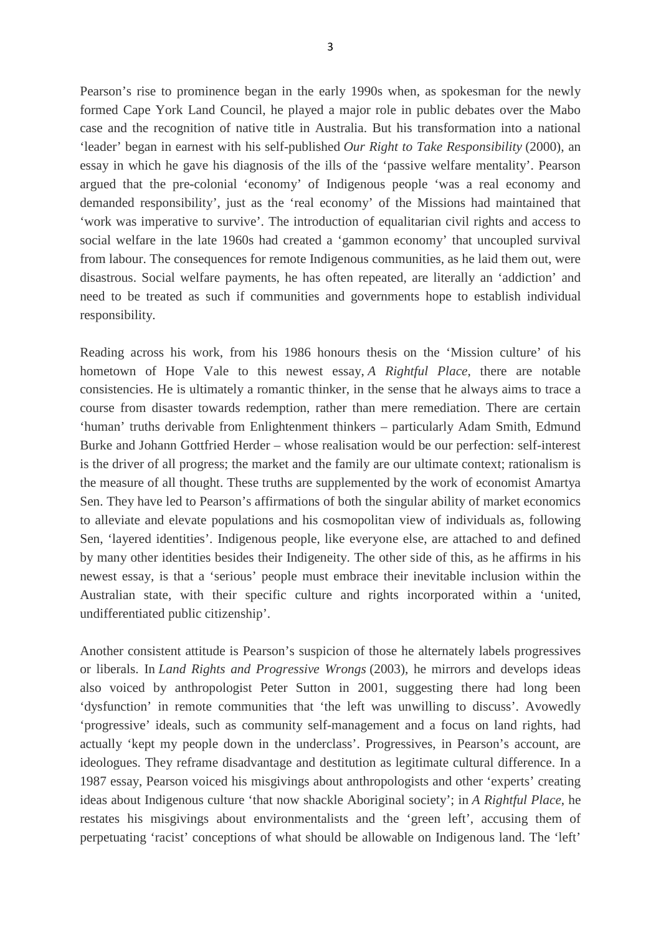Pearson's rise to prominence began in the early 1990s when, as spokesman for the newly formed Cape York Land Council, he played a major role in public debates over the Mabo case and the recognition of native title in Australia. But his transformation into a national 'leader' began in earnest with his self-published *Our Right to Take Responsibility* (2000), an essay in which he gave his diagnosis of the ills of the 'passive welfare mentality'. Pearson argued that the pre-colonial 'economy' of Indigenous people 'was a real economy and demanded responsibility', just as the 'real economy' of the Missions had maintained that 'work was imperative to survive'. The introduction of equalitarian civil rights and access to social welfare in the late 1960s had created a 'gammon economy' that uncoupled survival from labour. The consequences for remote Indigenous communities, as he laid them out, were disastrous. Social welfare payments, he has often repeated, are literally an 'addiction' and need to be treated as such if communities and governments hope to establish individual responsibility.

Reading across his work, from his 1986 honours thesis on the 'Mission culture' of his hometown of Hope Vale to this newest essay, *A Rightful Place*, there are notable consistencies. He is ultimately a romantic thinker, in the sense that he always aims to trace a course from disaster towards redemption, rather than mere remediation. There are certain 'human' truths derivable from Enlightenment thinkers – particularly Adam Smith, Edmund Burke and Johann Gottfried Herder – whose realisation would be our perfection: self-interest is the driver of all progress; the market and the family are our ultimate context; rationalism is the measure of all thought. These truths are supplemented by the work of economist Amartya Sen. They have led to Pearson's affirmations of both the singular ability of market economics to alleviate and elevate populations and his cosmopolitan view of individuals as, following Sen, 'layered identities'. Indigenous people, like everyone else, are attached to and defined by many other identities besides their Indigeneity. The other side of this, as he affirms in his newest essay, is that a 'serious' people must embrace their inevitable inclusion within the Australian state, with their specific culture and rights incorporated within a 'united, undifferentiated public citizenship'.

Another consistent attitude is Pearson's suspicion of those he alternately labels progressives or liberals. In *Land Rights and Progressive Wrongs* (2003), he mirrors and develops ideas also voiced by anthropologist Peter Sutton in 2001, suggesting there had long been 'dysfunction' in remote communities that 'the left was unwilling to discuss'. Avowedly 'progressive' ideals, such as community self-management and a focus on land rights, had actually 'kept my people down in the underclass'. Progressives, in Pearson's account, are ideologues. They reframe disadvantage and destitution as legitimate cultural difference. In a 1987 essay, Pearson voiced his misgivings about anthropologists and other 'experts' creating ideas about Indigenous culture 'that now shackle Aboriginal society'; in *A Rightful Place*, he restates his misgivings about environmentalists and the 'green left', accusing them of perpetuating 'racist' conceptions of what should be allowable on Indigenous land. The 'left'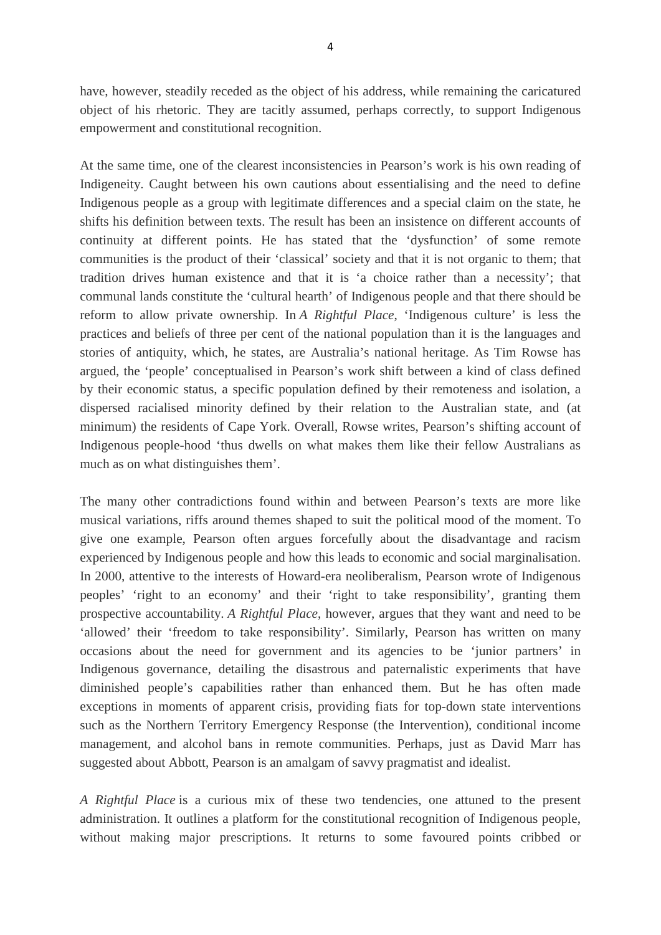have, however, steadily receded as the object of his address, while remaining the caricatured object of his rhetoric. They are tacitly assumed, perhaps correctly, to support Indigenous empowerment and constitutional recognition.

At the same time, one of the clearest inconsistencies in Pearson's work is his own reading of Indigeneity. Caught between his own cautions about essentialising and the need to define Indigenous people as a group with legitimate differences and a special claim on the state, he shifts his definition between texts. The result has been an insistence on different accounts of continuity at different points. He has stated that the 'dysfunction' of some remote communities is the product of their 'classical' society and that it is not organic to them; that tradition drives human existence and that it is 'a choice rather than a necessity'; that communal lands constitute the 'cultural hearth' of Indigenous people and that there should be reform to allow private ownership. In *A Rightful Place*, 'Indigenous culture' is less the practices and beliefs of three per cent of the national population than it is the languages and stories of antiquity, which, he states, are Australia's national heritage. As Tim Rowse has argued, the 'people' conceptualised in Pearson's work shift between a kind of class defined by their economic status, a specific population defined by their remoteness and isolation, a dispersed racialised minority defined by their relation to the Australian state, and (at minimum) the residents of Cape York. Overall, Rowse writes, Pearson's shifting account of Indigenous people-hood 'thus dwells on what makes them like their fellow Australians as much as on what distinguishes them'.

The many other contradictions found within and between Pearson's texts are more like musical variations, riffs around themes shaped to suit the political mood of the moment. To give one example, Pearson often argues forcefully about the disadvantage and racism experienced by Indigenous people and how this leads to economic and social marginalisation. In 2000, attentive to the interests of Howard-era neoliberalism, Pearson wrote of Indigenous peoples' 'right to an economy' and their 'right to take responsibility', granting them prospective accountability. *A Rightful Place*, however, argues that they want and need to be 'allowed' their 'freedom to take responsibility'. Similarly, Pearson has written on many occasions about the need for government and its agencies to be 'junior partners' in Indigenous governance, detailing the disastrous and paternalistic experiments that have diminished people's capabilities rather than enhanced them. But he has often made exceptions in moments of apparent crisis, providing fiats for top-down state interventions such as the Northern Territory Emergency Response (the Intervention), conditional income management, and alcohol bans in remote communities. Perhaps, just as David Marr has suggested about Abbott, Pearson is an amalgam of savvy pragmatist and idealist.

*A Rightful Place* is a curious mix of these two tendencies, one attuned to the present administration. It outlines a platform for the constitutional recognition of Indigenous people, without making major prescriptions. It returns to some favoured points cribbed or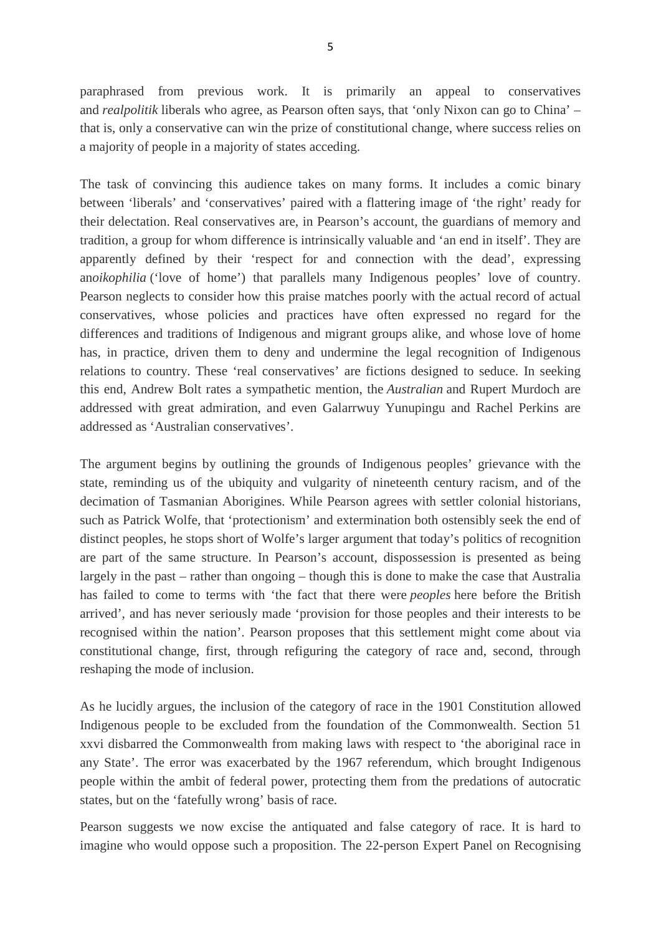paraphrased from previous work. It is primarily an appeal to conservatives and *realpolitik* liberals who agree, as Pearson often says, that 'only Nixon can go to China' – that is, only a conservative can win the prize of constitutional change, where success relies on a majority of people in a majority of states acceding.

The task of convincing this audience takes on many forms. It includes a comic binary between 'liberals' and 'conservatives' paired with a flattering image of 'the right' ready for their delectation. Real conservatives are, in Pearson's account, the guardians of memory and tradition, a group for whom difference is intrinsically valuable and 'an end in itself'. They are apparently defined by their 'respect for and connection with the dead', expressing an*oikophilia* ('love of home') that parallels many Indigenous peoples' love of country. Pearson neglects to consider how this praise matches poorly with the actual record of actual conservatives, whose policies and practices have often expressed no regard for the differences and traditions of Indigenous and migrant groups alike, and whose love of home has, in practice, driven them to deny and undermine the legal recognition of Indigenous relations to country. These 'real conservatives' are fictions designed to seduce. In seeking this end, Andrew Bolt rates a sympathetic mention, the *Australian* and Rupert Murdoch are addressed with great admiration, and even Galarrwuy Yunupingu and Rachel Perkins are addressed as 'Australian conservatives'.

The argument begins by outlining the grounds of Indigenous peoples' grievance with the state, reminding us of the ubiquity and vulgarity of nineteenth century racism, and of the decimation of Tasmanian Aborigines. While Pearson agrees with settler colonial historians, such as Patrick Wolfe, that 'protectionism' and extermination both ostensibly seek the end of distinct peoples, he stops short of Wolfe's larger argument that today's politics of recognition are part of the same structure. In Pearson's account, dispossession is presented as being largely in the past – rather than ongoing – though this is done to make the case that Australia has failed to come to terms with 'the fact that there were *peoples* here before the British arrived', and has never seriously made 'provision for those peoples and their interests to be recognised within the nation'. Pearson proposes that this settlement might come about via constitutional change, first, through refiguring the category of race and, second, through reshaping the mode of inclusion.

As he lucidly argues, the inclusion of the category of race in the 1901 Constitution allowed Indigenous people to be excluded from the foundation of the Commonwealth. Section 51 xxvi disbarred the Commonwealth from making laws with respect to 'the aboriginal race in any State'. The error was exacerbated by the 1967 referendum, which brought Indigenous people within the ambit of federal power, protecting them from the predations of autocratic states, but on the 'fatefully wrong' basis of race.

Pearson suggests we now excise the antiquated and false category of race. It is hard to imagine who would oppose such a proposition. The 22-person Expert Panel on Recognising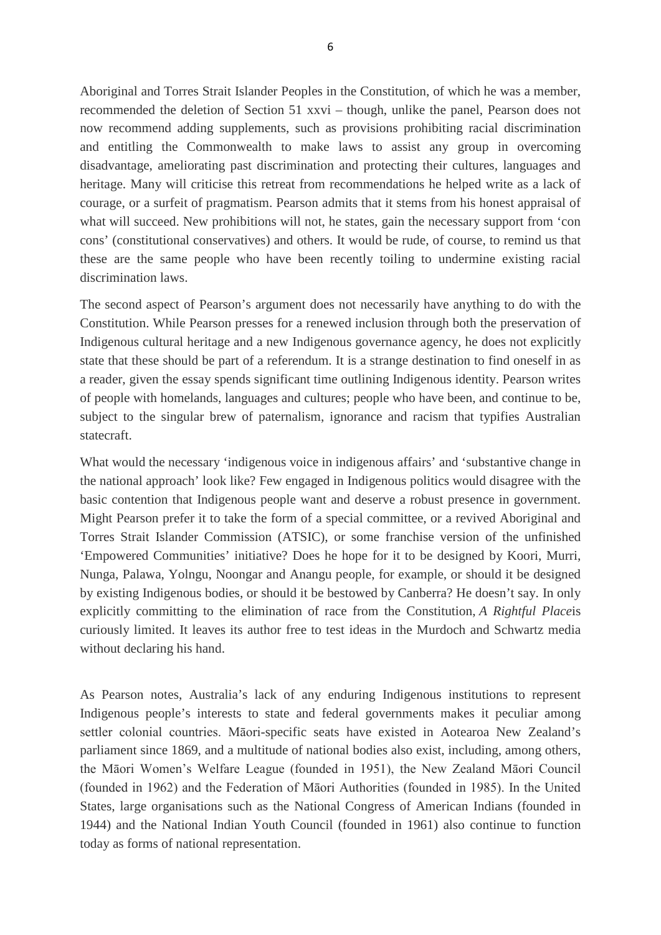Aboriginal and Torres Strait Islander Peoples in the Constitution, of which he was a member, recommended the deletion of Section 51 xxvi – though, unlike the panel, Pearson does not now recommend adding supplements, such as provisions prohibiting racial discrimination and entitling the Commonwealth to make laws to assist any group in overcoming disadvantage, ameliorating past discrimination and protecting their cultures, languages and heritage. Many will criticise this retreat from recommendations he helped write as a lack of courage, or a surfeit of pragmatism. Pearson admits that it stems from his honest appraisal of what will succeed. New prohibitions will not, he states, gain the necessary support from 'con cons' (constitutional conservatives) and others. It would be rude, of course, to remind us that these are the same people who have been recently toiling to undermine existing racial discrimination laws.

The second aspect of Pearson's argument does not necessarily have anything to do with the Constitution. While Pearson presses for a renewed inclusion through both the preservation of Indigenous cultural heritage and a new Indigenous governance agency, he does not explicitly state that these should be part of a referendum. It is a strange destination to find oneself in as a reader, given the essay spends significant time outlining Indigenous identity. Pearson writes of people with homelands, languages and cultures; people who have been, and continue to be, subject to the singular brew of paternalism, ignorance and racism that typifies Australian statecraft.

What would the necessary 'indigenous voice in indigenous affairs' and 'substantive change in the national approach' look like? Few engaged in Indigenous politics would disagree with the basic contention that Indigenous people want and deserve a robust presence in government. Might Pearson prefer it to take the form of a special committee, or a revived Aboriginal and Torres Strait Islander Commission (ATSIC), or some franchise version of the unfinished 'Empowered Communities' initiative? Does he hope for it to be designed by Koori, Murri, Nunga, Palawa, Yolngu, Noongar and Anangu people, for example, or should it be designed by existing Indigenous bodies, or should it be bestowed by Canberra? He doesn't say. In only explicitly committing to the elimination of race from the Constitution, *A Rightful Place*is curiously limited. It leaves its author free to test ideas in the Murdoch and Schwartz media without declaring his hand.

As Pearson notes, Australia's lack of any enduring Indigenous institutions to represent Indigenous people's interests to state and federal governments makes it peculiar among settler colonial countries. Māori-specific seats have existed in Aotearoa New Zealand's parliament since 1869, and a multitude of national bodies also exist, including, among others, the Māori Women's Welfare League (founded in 1951), the New Zealand Māori Council (founded in 1962) and the Federation of Māori Authorities (founded in 1985). In the United States, large organisations such as the National Congress of American Indians (founded in 1944) and the National Indian Youth Council (founded in 1961) also continue to function today as forms of national representation.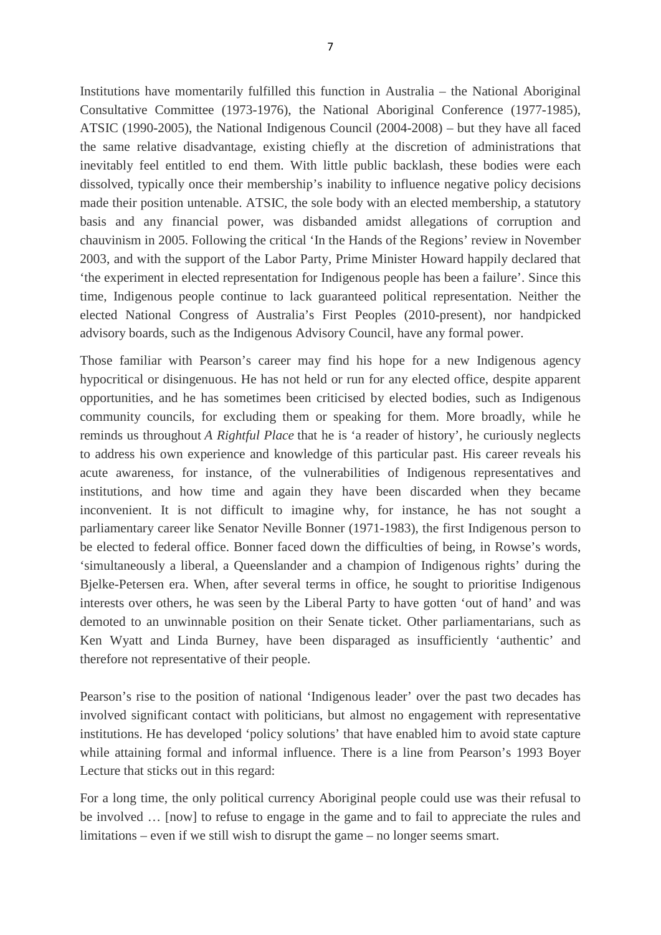Institutions have momentarily fulfilled this function in Australia – the National Aboriginal Consultative Committee (1973-1976), the National Aboriginal Conference (1977-1985), ATSIC (1990-2005), the National Indigenous Council (2004-2008) – but they have all faced the same relative disadvantage, existing chiefly at the discretion of administrations that inevitably feel entitled to end them. With little public backlash, these bodies were each dissolved, typically once their membership's inability to influence negative policy decisions made their position untenable. ATSIC, the sole body with an elected membership, a statutory basis and any financial power, was disbanded amidst allegations of corruption and chauvinism in 2005. Following the critical 'In the Hands of the Regions' review in November 2003, and with the support of the Labor Party, Prime Minister Howard happily declared that 'the experiment in elected representation for Indigenous people has been a failure'. Since this time, Indigenous people continue to lack guaranteed political representation. Neither the elected National Congress of Australia's First Peoples (2010-present), nor handpicked advisory boards, such as the Indigenous Advisory Council, have any formal power.

Those familiar with Pearson's career may find his hope for a new Indigenous agency hypocritical or disingenuous. He has not held or run for any elected office, despite apparent opportunities, and he has sometimes been criticised by elected bodies, such as Indigenous community councils, for excluding them or speaking for them. More broadly, while he reminds us throughout *A Rightful Place* that he is 'a reader of history', he curiously neglects to address his own experience and knowledge of this particular past. His career reveals his acute awareness, for instance, of the vulnerabilities of Indigenous representatives and institutions, and how time and again they have been discarded when they became inconvenient. It is not difficult to imagine why, for instance, he has not sought a parliamentary career like Senator Neville Bonner (1971-1983), the first Indigenous person to be elected to federal office. Bonner faced down the difficulties of being, in Rowse's words, 'simultaneously a liberal, a Queenslander and a champion of Indigenous rights' during the Bjelke-Petersen era. When, after several terms in office, he sought to prioritise Indigenous interests over others, he was seen by the Liberal Party to have gotten 'out of hand' and was demoted to an unwinnable position on their Senate ticket. Other parliamentarians, such as Ken Wyatt and Linda Burney, have been disparaged as insufficiently 'authentic' and therefore not representative of their people.

Pearson's rise to the position of national 'Indigenous leader' over the past two decades has involved significant contact with politicians, but almost no engagement with representative institutions. He has developed 'policy solutions' that have enabled him to avoid state capture while attaining formal and informal influence. There is a line from Pearson's 1993 Boyer Lecture that sticks out in this regard:

For a long time, the only political currency Aboriginal people could use was their refusal to be involved … [now] to refuse to engage in the game and to fail to appreciate the rules and limitations – even if we still wish to disrupt the game – no longer seems smart.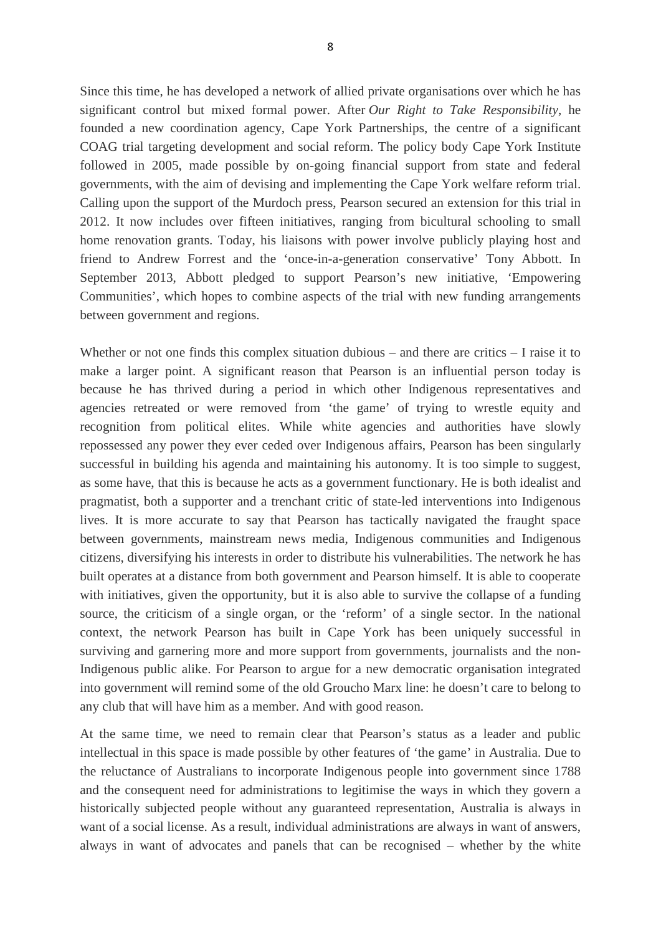Since this time, he has developed a network of allied private organisations over which he has significant control but mixed formal power. After *Our Right to Take Responsibility*, he founded a new coordination agency, Cape York Partnerships, the centre of a significant COAG trial targeting development and social reform. The policy body Cape York Institute followed in 2005, made possible by on-going financial support from state and federal governments, with the aim of devising and implementing the Cape York welfare reform trial. Calling upon the support of the Murdoch press, Pearson secured an extension for this trial in 2012. It now includes over fifteen initiatives, ranging from bicultural schooling to small home renovation grants. Today, his liaisons with power involve publicly playing host and friend to Andrew Forrest and the 'once-in-a-generation conservative' Tony Abbott. In September 2013, Abbott pledged to support Pearson's new initiative, 'Empowering Communities', which hopes to combine aspects of the trial with new funding arrangements

between government and regions.

Whether or not one finds this complex situation dubious – and there are critics – I raise it to make a larger point. A significant reason that Pearson is an influential person today is because he has thrived during a period in which other Indigenous representatives and agencies retreated or were removed from 'the game' of trying to wrestle equity and recognition from political elites. While white agencies and authorities have slowly repossessed any power they ever ceded over Indigenous affairs, Pearson has been singularly successful in building his agenda and maintaining his autonomy. It is too simple to suggest, as some have, that this is because he acts as a government functionary. He is both idealist and pragmatist, both a supporter and a trenchant critic of state-led interventions into Indigenous lives. It is more accurate to say that Pearson has tactically navigated the fraught space between governments, mainstream news media, Indigenous communities and Indigenous citizens, diversifying his interests in order to distribute his vulnerabilities. The network he has built operates at a distance from both government and Pearson himself. It is able to cooperate with initiatives, given the opportunity, but it is also able to survive the collapse of a funding source, the criticism of a single organ, or the 'reform' of a single sector. In the national context, the network Pearson has built in Cape York has been uniquely successful in surviving and garnering more and more support from governments, journalists and the non-Indigenous public alike. For Pearson to argue for a new democratic organisation integrated into government will remind some of the old Groucho Marx line: he doesn't care to belong to any club that will have him as a member. And with good reason.

At the same time, we need to remain clear that Pearson's status as a leader and public intellectual in this space is made possible by other features of 'the game' in Australia. Due to the reluctance of Australians to incorporate Indigenous people into government since 1788 and the consequent need for administrations to legitimise the ways in which they govern a historically subjected people without any guaranteed representation, Australia is always in want of a social license. As a result, individual administrations are always in want of answers, always in want of advocates and panels that can be recognised – whether by the white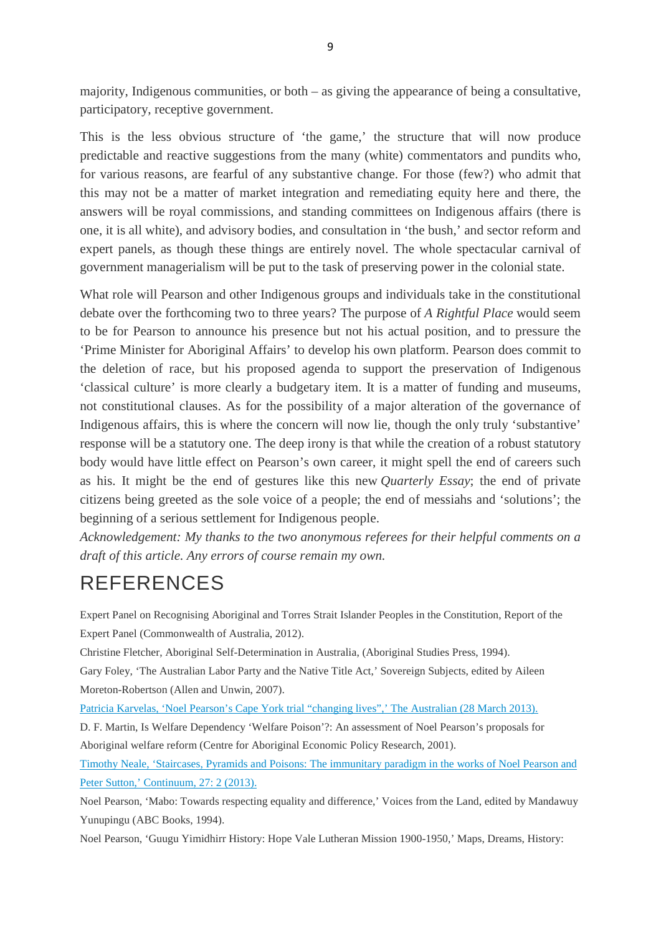majority, Indigenous communities, or both – as giving the appearance of being a consultative, participatory, receptive government.

This is the less obvious structure of 'the game,' the structure that will now produce predictable and reactive suggestions from the many (white) commentators and pundits who, for various reasons, are fearful of any substantive change. For those (few?) who admit that this may not be a matter of market integration and remediating equity here and there, the answers will be royal commissions, and standing committees on Indigenous affairs (there is one, it is all white), and advisory bodies, and consultation in 'the bush,' and sector reform and expert panels, as though these things are entirely novel. The whole spectacular carnival of government managerialism will be put to the task of preserving power in the colonial state.

What role will Pearson and other Indigenous groups and individuals take in the constitutional debate over the forthcoming two to three years? The purpose of *A Rightful Place* would seem to be for Pearson to announce his presence but not his actual position, and to pressure the 'Prime Minister for Aboriginal Affairs' to develop his own platform. Pearson does commit to the deletion of race, but his proposed agenda to support the preservation of Indigenous 'classical culture' is more clearly a budgetary item. It is a matter of funding and museums, not constitutional clauses. As for the possibility of a major alteration of the governance of Indigenous affairs, this is where the concern will now lie, though the only truly 'substantive' response will be a statutory one. The deep irony is that while the creation of a robust statutory body would have little effect on Pearson's own career, it might spell the end of careers such as his. It might be the end of gestures like this new *Quarterly Essay*; the end of private citizens being greeted as the sole voice of a people; the end of messiahs and 'solutions'; the beginning of a serious settlement for Indigenous people.

*Acknowledgement: My thanks to the two anonymous referees for their helpful comments on a draft of this article. Any errors of course remain my own.*

## REFERENCES

Expert Panel on Recognising Aboriginal and Torres Strait Islander Peoples in the Constitution, Report of the Expert Panel (Commonwealth of Australia, 2012).

Christine Fletcher, Aboriginal Self-Determination in Australia, (Aboriginal Studies Press, 1994).

Gary Foley, 'The Australian Labor Party and the Native Title Act,' Sovereign Subjects, edited by Aileen Moreton-Robertson (Allen and Unwin, 2007).

Patricia Karvelas, 'Noel Pearson's Cape York trial "changing lives",' The [Australian](http://www.theaustralian.com.au/national-affairs/indigenous/noel-pearsons-cape-york-trial-changing-lives/story-fn9hm1pm-1226608059546) (28 March 2013).

D. F. Martin, Is Welfare Dependency 'Welfare Poison'?: An assessment of Noel Pearson's proposals for Aboriginal welfare reform (Centre for Aboriginal Economic Policy Research, 2001).

Timothy Neale, 'Staircases, Pyramids and Poisons: The [immunitary](http://www.tandfonline.com/doi/abs/10.1080/10304312.2013.766317%23.VFK7o_SUfPY) paradigm in the works of Noel Pearson and Peter Sutton,' [Continuum,](http://www.tandfonline.com/doi/abs/10.1080/10304312.2013.766317%23.VFK7o_SUfPY) 27: 2 (2013).

Noel Pearson, 'Mabo: Towards respecting equality and difference,' Voices from the Land, edited by Mandawuy Yunupingu (ABC Books, 1994).

Noel Pearson, 'Guugu Yimidhirr History: Hope Vale Lutheran Mission 1900-1950,' Maps, Dreams, History: